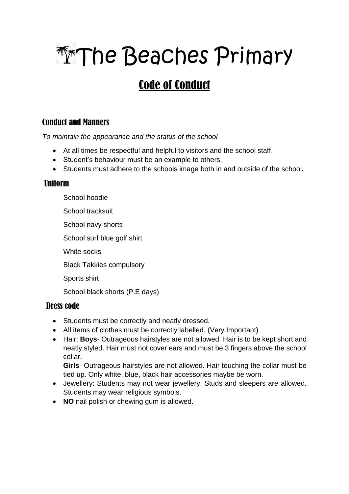# **The Beaches Primary**

# Code of Conduct

## Conduct and Manners

*To maintain the appearance and the status of the school*

- At all times be respectful and helpful to visitors and the school staff.
- Student's behaviour must be an example to others.
- Students must adhere to the schools image both in and outside of the school.

### Uniform

- School hoodie
- School tracksuit
- School navy shorts
- School surf blue golf shirt
- White socks
- Black Takkies compulsory
- Sports shirt

School black shorts (P.E days)

### Dress code

- Students must be correctly and neatly dressed.
- All items of clothes must be correctly labelled. (Very Important)
- Hair: **Boys** Outrageous hairstyles are not allowed. Hair is to be kept short and neatly styled. Hair must not cover ears and must be 3 fingers above the school collar.

**Girls**- Outrageous hairstyles are not allowed. Hair touching the collar must be tied up. Only white, blue, black hair accessories maybe be worn.

- Jewellery: Students may not wear jewellery. Studs and sleepers are allowed. Students may wear religious symbols.
- **NO** nail polish or chewing gum is allowed.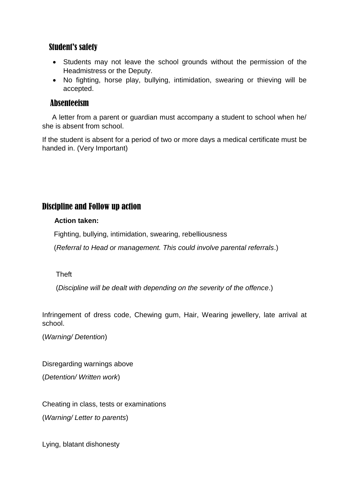#### Student's safety

- Students may not leave the school grounds without the permission of the Headmistress or the Deputy.
- No fighting, horse play, bullying, intimidation, swearing or thieving will be accepted.

#### Absenteeism

 A letter from a parent or guardian must accompany a student to school when he/ she is absent from school.

If the student is absent for a period of two or more days a medical certificate must be handed in. (Very Important)

#### Discipline and Follow up action

#### **Action taken:**

Fighting, bullying, intimidation, swearing, rebelliousness

(*Referral to Head or management. This could involve parental referrals*.)

#### Theft

(*Discipline will be dealt with depending on the severity of the offence*.)

Infringement of dress code, Chewing gum, Hair, Wearing jewellery, late arrival at school.

(*Warning/ Detention*)

Disregarding warnings above

(*Detention/ Written work*)

Cheating in class, tests or examinations

(*Warning/ Letter to parents*)

Lying, blatant dishonesty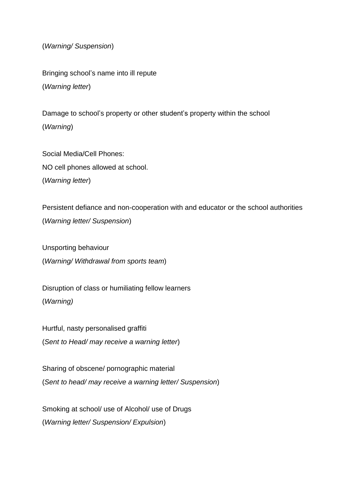(*Warning/ Suspension*)

Bringing school's name into ill repute (*Warning letter*)

Damage to school's property or other student's property within the school (*Warning*)

Social Media/Cell Phones: NO cell phones allowed at school. (*Warning letter*)

Persistent defiance and non-cooperation with and educator or the school authorities (*Warning letter/ Suspension*)

Unsporting behaviour (*Warning/ Withdrawal from sports team*)

Disruption of class or humiliating fellow learners (*Warning)*

Hurtful, nasty personalised graffiti (*Sent to Head/ may receive a warning letter*)

Sharing of obscene/ pornographic material (*Sent to head/ may receive a warning letter/ Suspension*)

Smoking at school/ use of Alcohol/ use of Drugs (*Warning letter/ Suspension/ Expulsion*)